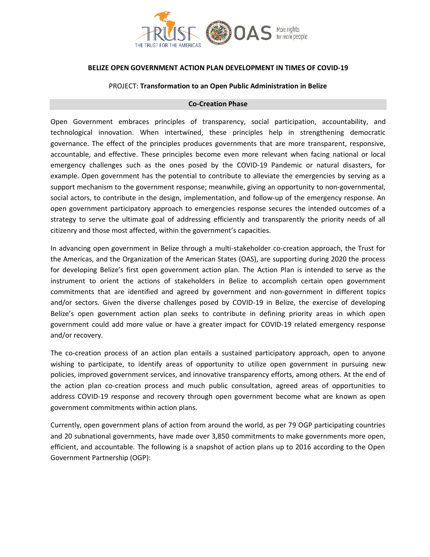

#### **BELIZE OPEN GOVERNMENT ACTION PLAN DEVELOPMENT IN TIMES OF COVID-19**

#### PROJECT: **Transformation to an Open Public Administration in Belize**

#### **Co-Creation Phase**

Open Government embraces principles of transparency, social participation, accountability, and technological innovation. When intertwined, these principles help in strengthening democratic governance. The effect of the principles produces governments that are more transparent, responsive, accountable, and effective. These principles become even more relevant when facing national or local emergency challenges such as the ones posed by the COVID-19 Pandemic or natural disasters, for example. Open government has the potential to contribute to alleviate the emergencies by serving as a support mechanism to the government response; meanwhile, giving an opportunity to non-governmental, social actors, to contribute in the design, implementation, and follow-up of the emergency response. An open government participatory approach to emergencies response secures the intended outcomes of a strategy to serve the ultimate goal of addressing efficiently and transparently the priority needs of all citizenry and those most affected, within the government's capacities.

In advancing open government in Belize through a multi-stakeholder co-creation approach, the Trust for the Americas, and the Organization of the American States (OAS), are supporting during 2020 the process for developing Belize's first open government action plan. The Action Plan is intended to serve as the instrument to orient the actions of stakeholders in Belize to accomplish certain open government commitments that are identified and agreed by government and non-government in different topics and/or sectors. Given the diverse challenges posed by COVID-19 in Belize, the exercise of developing Belize's open government action plan seeks to contribute in defining priority areas in which open government could add more value or have a greater impact for COVID-19 related emergency response and/or recovery.

The co-creation process of an action plan entails a sustained participatory approach, open to anyone wishing to participate, to identify areas of opportunity to utilize open government in pursuing new policies, improved government services, and innovative transparency efforts, among others. At the end of the action plan co-creation process and much public consultation, agreed areas of opportunities to address COVID-19 response and recovery through open government become what are known as open government commitments within action plans.

Currently, open government plans of action from around the world, as per 79 OGP participating countries and 20 subnational governments, have made over 3,850 commitments to make governments more open, efficient, and accountable. The following is a snapshot of action plans up to 2016 according to the Open Government Partnership (OGP):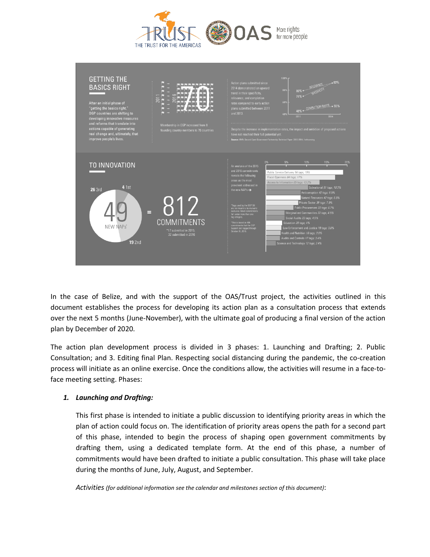



In the case of Belize, and with the support of the OAS/Trust project, the activities outlined in this document establishes the process for developing its action plan as a consultation process that extends over the next 5 months (June-November), with the ultimate goal of producing a final version of the action plan by December of 2020.

The action plan development process is divided in 3 phases: 1. Launching and Drafting; 2. Public Consultation; and 3. Editing final Plan. Respecting social distancing during the pandemic, the co-creation process will initiate as an online exercise. Once the conditions allow, the activities will resume in a face-toface meeting setting. Phases:

# *1. Launching and Drafting:*

This first phase is intended to initiate a public discussion to identifying priority areas in which the plan of action could focus on. The identification of priority areas opens the path for a second part of this phase, intended to begin the process of shaping open government commitments by drafting them, using a dedicated template form. At the end of this phase, a number of commitments would have been drafted to initiate a public consultation. This phase will take place during the months of June, July, August, and September.

*Activities (for additional information see the calendar and milestones section of this document)*: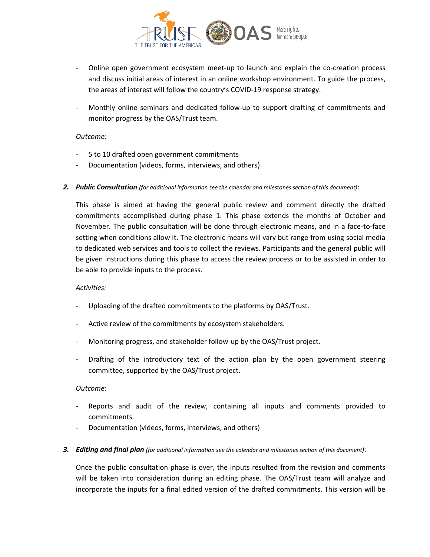

- Online open government ecosystem meet-up to launch and explain the co-creation process and discuss initial areas of interest in an online workshop environment. To guide the process, the areas of interest will follow the country's COVID-19 response strategy.
- Monthly online seminars and dedicated follow-up to support drafting of commitments and monitor progress by the OAS/Trust team.

## *Outcome*:

- 5 to 10 drafted open government commitments
- Documentation (videos, forms, interviews, and others)
- *2. Public Consultation (for additional information see the calendar and milestones section of this document)*:

This phase is aimed at having the general public review and comment directly the drafted commitments accomplished during phase 1. This phase extends the months of October and November. The public consultation will be done through electronic means, and in a face-to-face setting when conditions allow it. The electronic means will vary but range from using social media to dedicated web services and tools to collect the reviews. Participants and the general public will be given instructions during this phase to access the review process or to be assisted in order to be able to provide inputs to the process.

#### *Activities:*

- Uploading of the drafted commitments to the platforms by OAS/Trust.
- Active review of the commitments by ecosystem stakeholders.
- Monitoring progress, and stakeholder follow-up by the OAS/Trust project.
- Drafting of the introductory text of the action plan by the open government steering committee, supported by the OAS/Trust project.

# *Outcome*:

- Reports and audit of the review, containing all inputs and comments provided to commitments.
- Documentation (videos, forms, interviews, and others)
- *3. Editing and final plan (for additional information see the calendar and milestones section of this document)*:

Once the public consultation phase is over, the inputs resulted from the revision and comments will be taken into consideration during an editing phase. The OAS/Trust team will analyze and incorporate the inputs for a final edited version of the drafted commitments. This version will be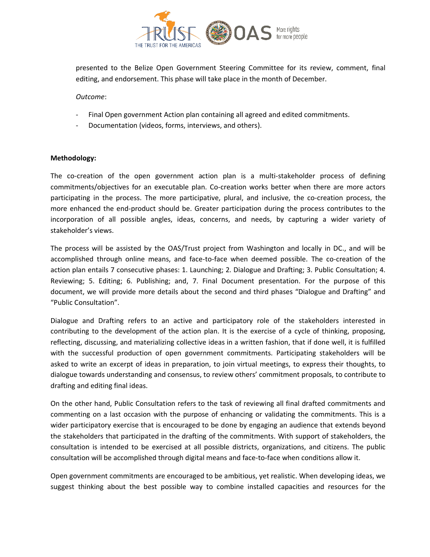

presented to the Belize Open Government Steering Committee for its review, comment, final editing, and endorsement. This phase will take place in the month of December.

## *Outcome*:

- Final Open government Action plan containing all agreed and edited commitments.
- Documentation (videos, forms, interviews, and others).

## **Methodology:**

The co-creation of the open government action plan is a multi-stakeholder process of defining commitments/objectives for an executable plan. Co-creation works better when there are more actors participating in the process. The more participative, plural, and inclusive, the co-creation process, the more enhanced the end-product should be. Greater participation during the process contributes to the incorporation of all possible angles, ideas, concerns, and needs, by capturing a wider variety of stakeholder's views.

The process will be assisted by the OAS/Trust project from Washington and locally in DC., and will be accomplished through online means, and face-to-face when deemed possible. The co-creation of the action plan entails 7 consecutive phases: 1. Launching; 2. Dialogue and Drafting; 3. Public Consultation; 4. Reviewing; 5. Editing; 6. Publishing; and, 7. Final Document presentation. For the purpose of this document, we will provide more details about the second and third phases "Dialogue and Drafting" and "Public Consultation".

Dialogue and Drafting refers to an active and participatory role of the stakeholders interested in contributing to the development of the action plan. It is the exercise of a cycle of thinking, proposing, reflecting, discussing, and materializing collective ideas in a written fashion, that if done well, it is fulfilled with the successful production of open government commitments. Participating stakeholders will be asked to write an excerpt of ideas in preparation, to join virtual meetings, to express their thoughts, to dialogue towards understanding and consensus, to review others' commitment proposals, to contribute to drafting and editing final ideas.

On the other hand, Public Consultation refers to the task of reviewing all final drafted commitments and commenting on a last occasion with the purpose of enhancing or validating the commitments. This is a wider participatory exercise that is encouraged to be done by engaging an audience that extends beyond the stakeholders that participated in the drafting of the commitments. With support of stakeholders, the consultation is intended to be exercised at all possible districts, organizations, and citizens. The public consultation will be accomplished through digital means and face-to-face when conditions allow it.

Open government commitments are encouraged to be ambitious, yet realistic. When developing ideas, we suggest thinking about the best possible way to combine installed capacities and resources for the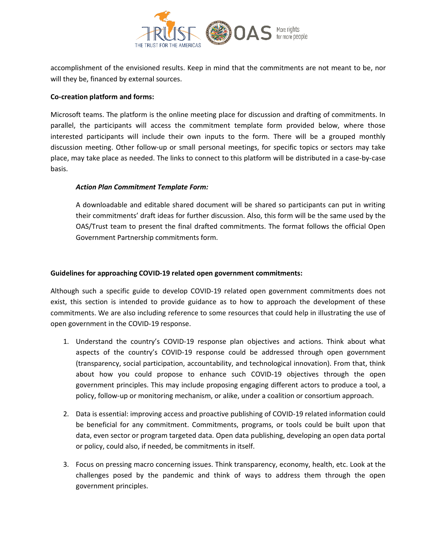

accomplishment of the envisioned results. Keep in mind that the commitments are not meant to be, nor will they be, financed by external sources.

# **Co-creation platform and forms:**

Microsoft teams. The platform is the online meeting place for discussion and drafting of commitments. In parallel, the participants will access the commitment template form provided below, where those interested participants will include their own inputs to the form. There will be a grouped monthly discussion meeting. Other follow-up or small personal meetings, for specific topics or sectors may take place, may take place as needed. The links to connect to this platform will be distributed in a case-by-case basis.

## *Action Plan Commitment Template Form:*

A downloadable and editable shared document will be shared so participants can put in writing their commitments' draft ideas for further discussion. Also, this form will be the same used by the OAS/Trust team to present the final drafted commitments. The format follows the official Open Government Partnership commitments form.

## **Guidelines for approaching COVID-19 related open government commitments:**

Although such a specific guide to develop COVID-19 related open government commitments does not exist, this section is intended to provide guidance as to how to approach the development of these commitments. We are also including reference to some resources that could help in illustrating the use of open government in the COVID-19 response.

- 1. Understand the country's COVID-19 response plan objectives and actions. Think about what aspects of the country's COVID-19 response could be addressed through open government (transparency, social participation, accountability, and technological innovation). From that, think about how you could propose to enhance such COVID-19 objectives through the open government principles. This may include proposing engaging different actors to produce a tool, a policy, follow-up or monitoring mechanism, or alike, under a coalition or consortium approach.
- 2. Data is essential: improving access and proactive publishing of COVID-19 related information could be beneficial for any commitment. Commitments, programs, or tools could be built upon that data, even sector or program targeted data. Open data publishing, developing an open data portal or policy, could also, if needed, be commitments in itself.
- 3. Focus on pressing macro concerning issues. Think transparency, economy, health, etc. Look at the challenges posed by the pandemic and think of ways to address them through the open government principles.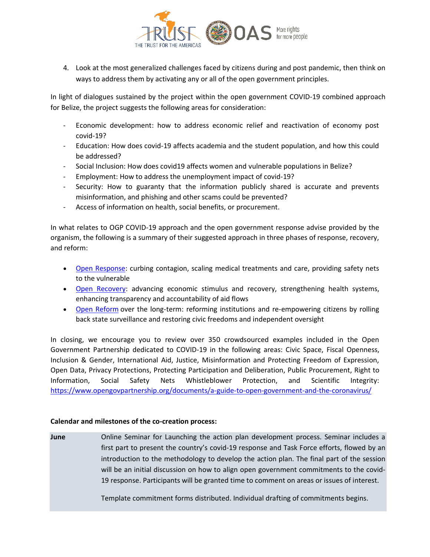

4. Look at the most generalized challenges faced by citizens during and post pandemic, then think on ways to address them by activating any or all of the open government principles.

In light of dialogues sustained by the project within the open government COVID-19 combined approach for Belize, the project suggests the following areas for consideration:

- Economic development: how to address economic relief and reactivation of economy post covid-19?
- Education: How does covid-19 affects academia and the student population, and how this could be addressed?
- Social Inclusion: How does covid19 affects women and vulnerable populations in Belize?
- Employment: How to address the unemployment impact of covid-19?
- Security: How to guaranty that the information publicly shared is accurate and prevents misinformation, and phishing and other scams could be prevented?
- Access of information on health, social benefits, or procurement.

In what relates to OGP COVID-19 approach and the open government response advise provided by the organism, the following is a summary of their suggested approach in three phases of response, recovery, and reform:

- [Open Response:](https://www.opengovpartnership.org/stories/open-response-open-recovery/#response) curbing contagion, scaling medical treatments and care, providing safety nets to the vulnerable
- [Open Recovery:](https://www.opengovpartnership.org/stories/open-response-open-recovery/#recovery) advancing economic stimulus and recovery, strengthening health systems, enhancing transparency and accountability of aid flows
- [Open Reform](https://www.opengovpartnership.org/stories/open-response-open-recovery/#reform) over the long-term: reforming institutions and re-empowering citizens by rolling back state surveillance and restoring civic freedoms and independent oversight

In closing, we encourage you to review over 350 crowdsourced examples included in the Open Government Partnership dedicated to COVID-19 in the following areas: Civic Space, Fiscal Openness, Inclusion & Gender, International Aid, Justice, Misinformation and Protecting Freedom of Expression, Open Data, Privacy Protections, Protecting Participation and Deliberation, Public Procurement, Right to Information, Social Safety Nets Whistleblower Protection, and Scientific Integrity: <https://www.opengovpartnership.org/documents/a-guide-to-open-government-and-the-coronavirus/>

# **Calendar and milestones of the co-creation process:**

**June** Online Seminar for Launching the action plan development process. Seminar includes a first part to present the country's covid-19 response and Task Force efforts, flowed by an introduction to the methodology to develop the action plan. The final part of the session will be an initial discussion on how to align open government commitments to the covid-19 response. Participants will be granted time to comment on areas or issues of interest.

Template commitment forms distributed. Individual drafting of commitments begins.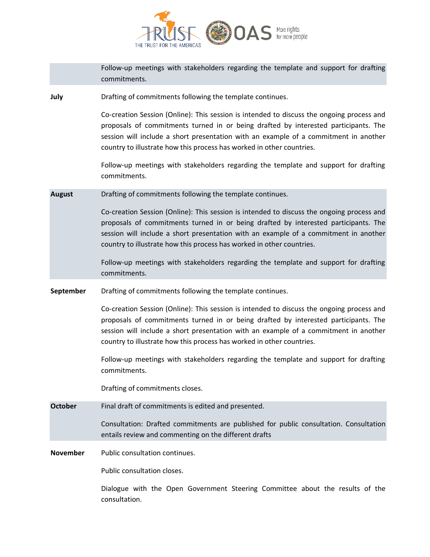

|                 | Follow-up meetings with stakeholders regarding the template and support for drafting<br>commitments.                                                                                                                                                                                                                                              |
|-----------------|---------------------------------------------------------------------------------------------------------------------------------------------------------------------------------------------------------------------------------------------------------------------------------------------------------------------------------------------------|
| July            | Drafting of commitments following the template continues.                                                                                                                                                                                                                                                                                         |
|                 | Co-creation Session (Online): This session is intended to discuss the ongoing process and<br>proposals of commitments turned in or being drafted by interested participants. The<br>session will include a short presentation with an example of a commitment in another<br>country to illustrate how this process has worked in other countries. |
|                 | Follow-up meetings with stakeholders regarding the template and support for drafting<br>commitments.                                                                                                                                                                                                                                              |
| <b>August</b>   | Drafting of commitments following the template continues.                                                                                                                                                                                                                                                                                         |
|                 | Co-creation Session (Online): This session is intended to discuss the ongoing process and<br>proposals of commitments turned in or being drafted by interested participants. The<br>session will include a short presentation with an example of a commitment in another<br>country to illustrate how this process has worked in other countries. |
|                 | Follow-up meetings with stakeholders regarding the template and support for drafting<br>commitments.                                                                                                                                                                                                                                              |
| September       | Drafting of commitments following the template continues.                                                                                                                                                                                                                                                                                         |
|                 |                                                                                                                                                                                                                                                                                                                                                   |
|                 | Co-creation Session (Online): This session is intended to discuss the ongoing process and<br>proposals of commitments turned in or being drafted by interested participants. The<br>session will include a short presentation with an example of a commitment in another<br>country to illustrate how this process has worked in other countries. |
|                 | Follow-up meetings with stakeholders regarding the template and support for drafting<br>commitments.                                                                                                                                                                                                                                              |
|                 | Drafting of commitments closes.                                                                                                                                                                                                                                                                                                                   |
| <b>October</b>  | Final draft of commitments is edited and presented.                                                                                                                                                                                                                                                                                               |
|                 | Consultation: Drafted commitments are published for public consultation. Consultation<br>entails review and commenting on the different drafts                                                                                                                                                                                                    |
| <b>November</b> | Public consultation continues.                                                                                                                                                                                                                                                                                                                    |
|                 | Public consultation closes.                                                                                                                                                                                                                                                                                                                       |